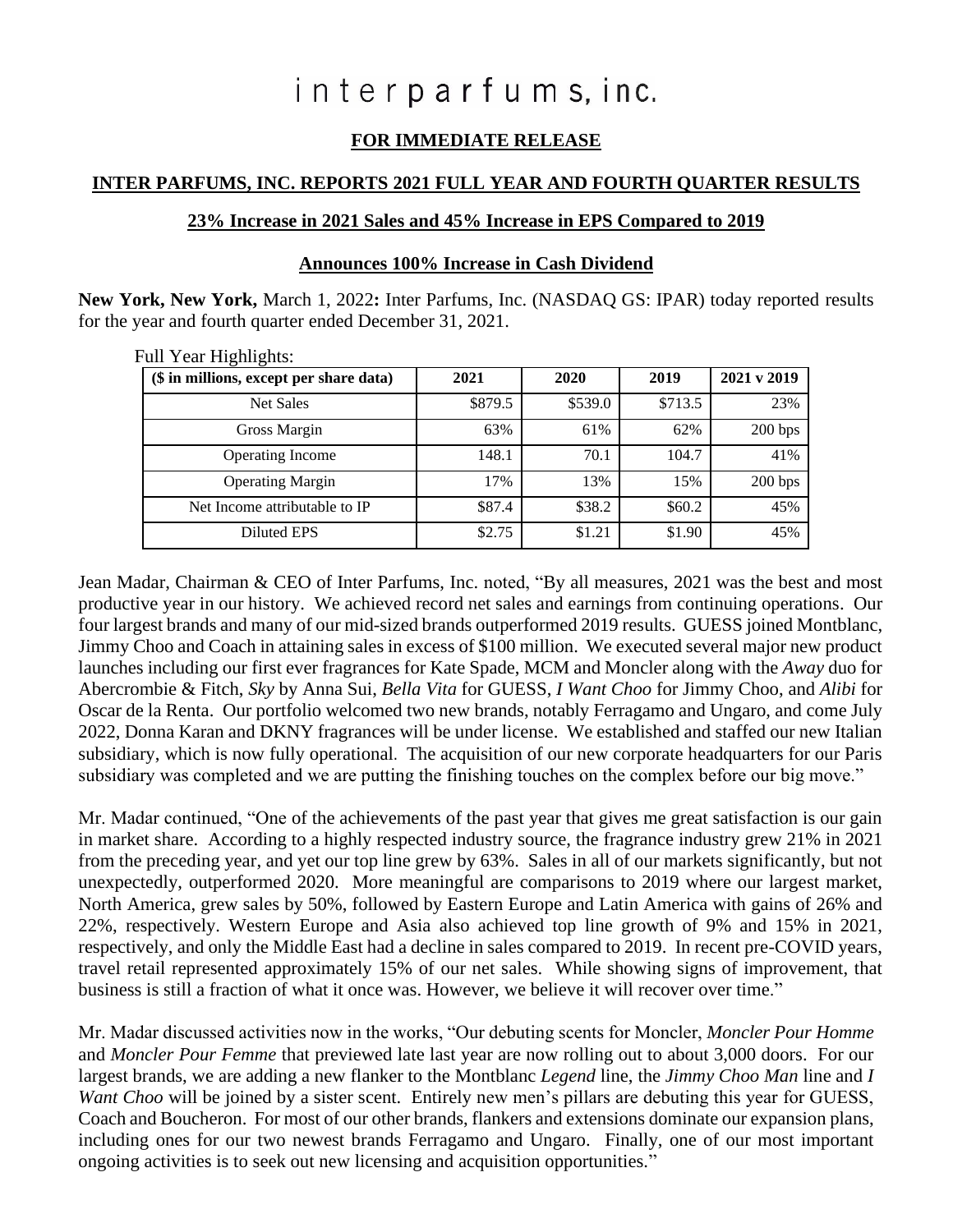# interparfums, inc.

# **FOR IMMEDIATE RELEASE**

## **INTER PARFUMS, INC. REPORTS 2021 FULL YEAR AND FOURTH QUARTER RESULTS**

#### **23% Increase in 2021 Sales and 45% Increase in EPS Compared to 2019**

#### **Announces 100% Increase in Cash Dividend**

**New York, New York,** March 1, 2022**:** Inter Parfums, Inc. (NASDAQ GS: IPAR) today reported results for the year and fourth quarter ended December 31, 2021.

| .<br>(\$ in millions, except per share data) | 2021    | 2020    | 2019    | 2021 v 2019 |
|----------------------------------------------|---------|---------|---------|-------------|
| <b>Net Sales</b>                             | \$879.5 | \$539.0 | \$713.5 | 23%         |
| Gross Margin                                 | 63%     | 61%     | 62%     | 200 bps     |
| <b>Operating Income</b>                      | 148.1   | 70.1    | 104.7   | 41%         |
| <b>Operating Margin</b>                      | 17%     | 13%     | 15%     | 200 bps     |
| Net Income attributable to IP                | \$87.4  | \$38.2  | \$60.2  | 45%         |
| <b>Diluted EPS</b>                           | \$2.75  | \$1.21  | \$1.90  | 45%         |

#### Full Year Highlights:

Jean Madar, Chairman & CEO of Inter Parfums, Inc. noted, "By all measures, 2021 was the best and most productive year in our history. We achieved record net sales and earnings from continuing operations. Our four largest brands and many of our mid-sized brands outperformed 2019 results. GUESS joined Montblanc, Jimmy Choo and Coach in attaining sales in excess of \$100 million. We executed several major new product launches including our first ever fragrances for Kate Spade, MCM and Moncler along with the *Away* duo for Abercrombie & Fitch, *Sky* by Anna Sui, *Bella Vita* for GUESS, *I Want Choo* for Jimmy Choo, and *Alibi* for Oscar de la Renta. Our portfolio welcomed two new brands, notably Ferragamo and Ungaro, and come July 2022, Donna Karan and DKNY fragrances will be under license. We established and staffed our new Italian subsidiary, which is now fully operational. The acquisition of our new corporate headquarters for our Paris subsidiary was completed and we are putting the finishing touches on the complex before our big move."

Mr. Madar continued, "One of the achievements of the past year that gives me great satisfaction is our gain in market share. According to a highly respected industry source, the fragrance industry grew 21% in 2021 from the preceding year, and yet our top line grew by 63%. Sales in all of our markets significantly, but not unexpectedly, outperformed 2020. More meaningful are comparisons to 2019 where our largest market, North America, grew sales by 50%, followed by Eastern Europe and Latin America with gains of 26% and 22%, respectively. Western Europe and Asia also achieved top line growth of 9% and 15% in 2021, respectively, and only the Middle East had a decline in sales compared to 2019. In recent pre-COVID years, travel retail represented approximately 15% of our net sales. While showing signs of improvement, that business is still a fraction of what it once was. However, we believe it will recover over time."

Mr. Madar discussed activities now in the works, "Our debuting scents for Moncler, *Moncler Pour Homme* and *Moncler Pour Femme* that previewed late last year are now rolling out to about 3,000 doors. For our largest brands, we are adding a new flanker to the Montblanc *Legend* line, the *Jimmy Choo Man* line and *I Want Choo* will be joined by a sister scent. Entirely new men's pillars are debuting this year for GUESS, Coach and Boucheron. For most of our other brands, flankers and extensions dominate our expansion plans, including ones for our two newest brands Ferragamo and Ungaro. Finally, one of our most important ongoing activities is to seek out new licensing and acquisition opportunities."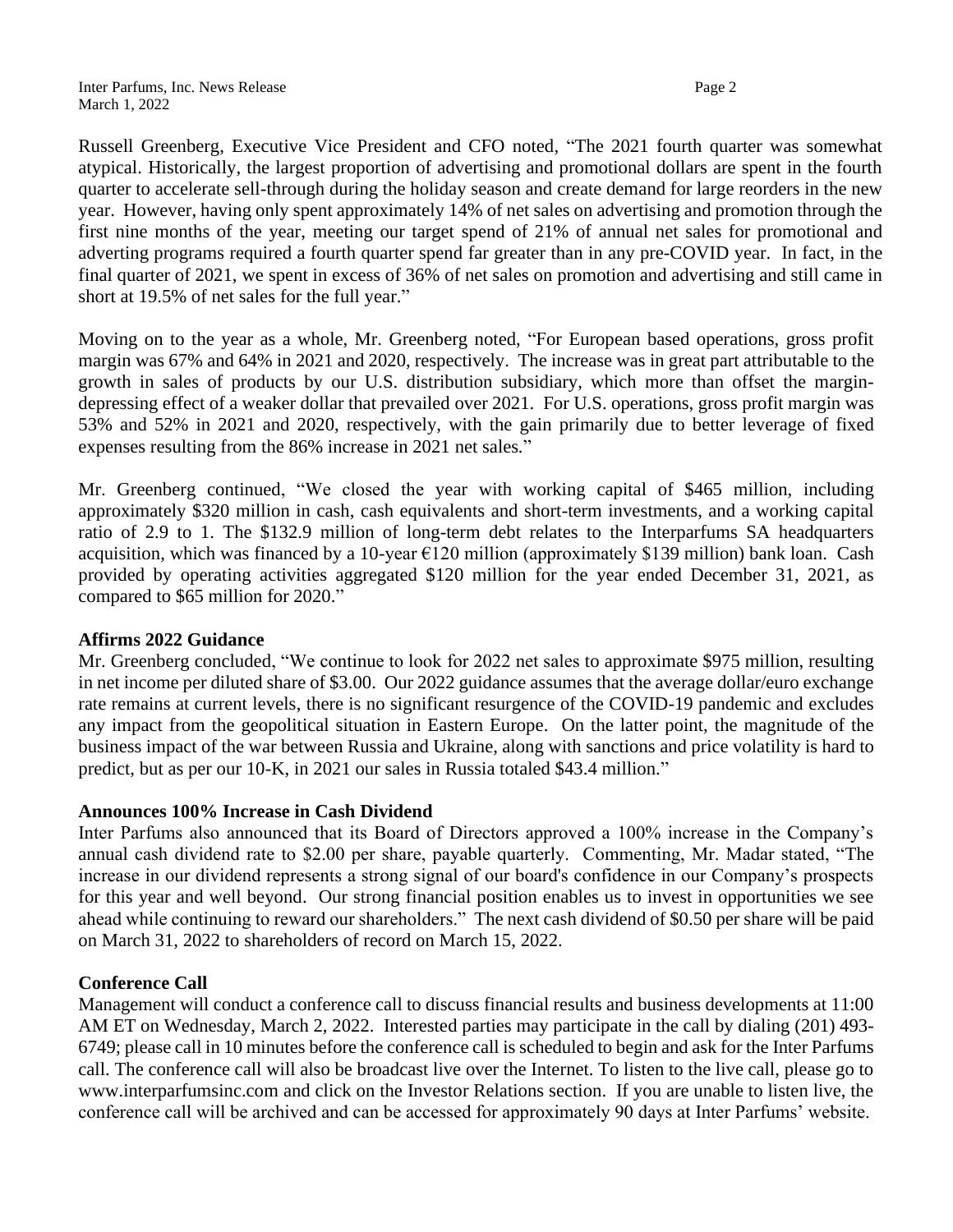Russell Greenberg, Executive Vice President and CFO noted, "The 2021 fourth quarter was somewhat atypical. Historically, the largest proportion of advertising and promotional dollars are spent in the fourth quarter to accelerate sell-through during the holiday season and create demand for large reorders in the new year. However, having only spent approximately 14% of net sales on advertising and promotion through the first nine months of the year, meeting our target spend of 21% of annual net sales for promotional and adverting programs required a fourth quarter spend far greater than in any pre-COVID year. In fact, in the final quarter of 2021, we spent in excess of 36% of net sales on promotion and advertising and still came in short at 19.5% of net sales for the full year."

Moving on to the year as a whole, Mr. Greenberg noted, "For European based operations, gross profit margin was 67% and 64% in 2021 and 2020, respectively. The increase was in great part attributable to the growth in sales of products by our U.S. distribution subsidiary, which more than offset the margindepressing effect of a weaker dollar that prevailed over 2021. For U.S. operations, gross profit margin was 53% and 52% in 2021 and 2020, respectively, with the gain primarily due to better leverage of fixed expenses resulting from the 86% increase in 2021 net sales*.*"

Mr. Greenberg continued, "We closed the year with working capital of \$465 million, including approximately \$320 million in cash, cash equivalents and short-term investments, and a working capital ratio of 2.9 to 1. The \$132.9 million of long-term debt relates to the Interparfums SA headquarters acquisition, which was financed by a 10-year €120 million (approximately \$139 million) bank loan. Cash provided by operating activities aggregated \$120 million for the year ended December 31, 2021, as compared to \$65 million for 2020."

## **Affirms 2022 Guidance**

Mr. Greenberg concluded, "We continue to look for 2022 net sales to approximate \$975 million, resulting in net income per diluted share of \$3.00. Our 2022 guidance assumes that the average dollar/euro exchange rate remains at current levels, there is no significant resurgence of the COVID-19 pandemic and excludes any impact from the geopolitical situation in Eastern Europe. On the latter point, the magnitude of the business impact of the war between Russia and Ukraine, along with sanctions and price volatility is hard to predict, but as per our 10-K, in 2021 our sales in Russia totaled \$43.4 million."

## **Announces 100% Increase in Cash Dividend**

Inter Parfums also announced that its Board of Directors approved a 100% increase in the Company's annual cash dividend rate to \$2.00 per share, payable quarterly. Commenting, Mr. Madar stated, "The increase in our dividend represents a strong signal of our board's confidence in our Company's prospects for this year and well beyond. Our strong financial position enables us to invest in opportunities we see ahead while continuing to reward our shareholders." The next cash dividend of \$0.50 per share will be paid on March 31, 2022 to shareholders of record on March 15, 2022.

## **Conference Call**

Management will conduct a conference call to discuss financial results and business developments at 11:00 AM ET on Wednesday, March 2, 2022. Interested parties may participate in the call by dialing (201) 493- 6749; please call in 10 minutes before the conference call is scheduled to begin and ask for the Inter Parfums call. The conference call will also be broadcast live over the Internet. To listen to the live call, please go to [www.interparfumsinc.com](http://www.interparfumsinc.com/) and click on the Investor Relations section. If you are unable to listen live, the conference call will be archived and can be accessed for approximately 90 days at Inter Parfums' website.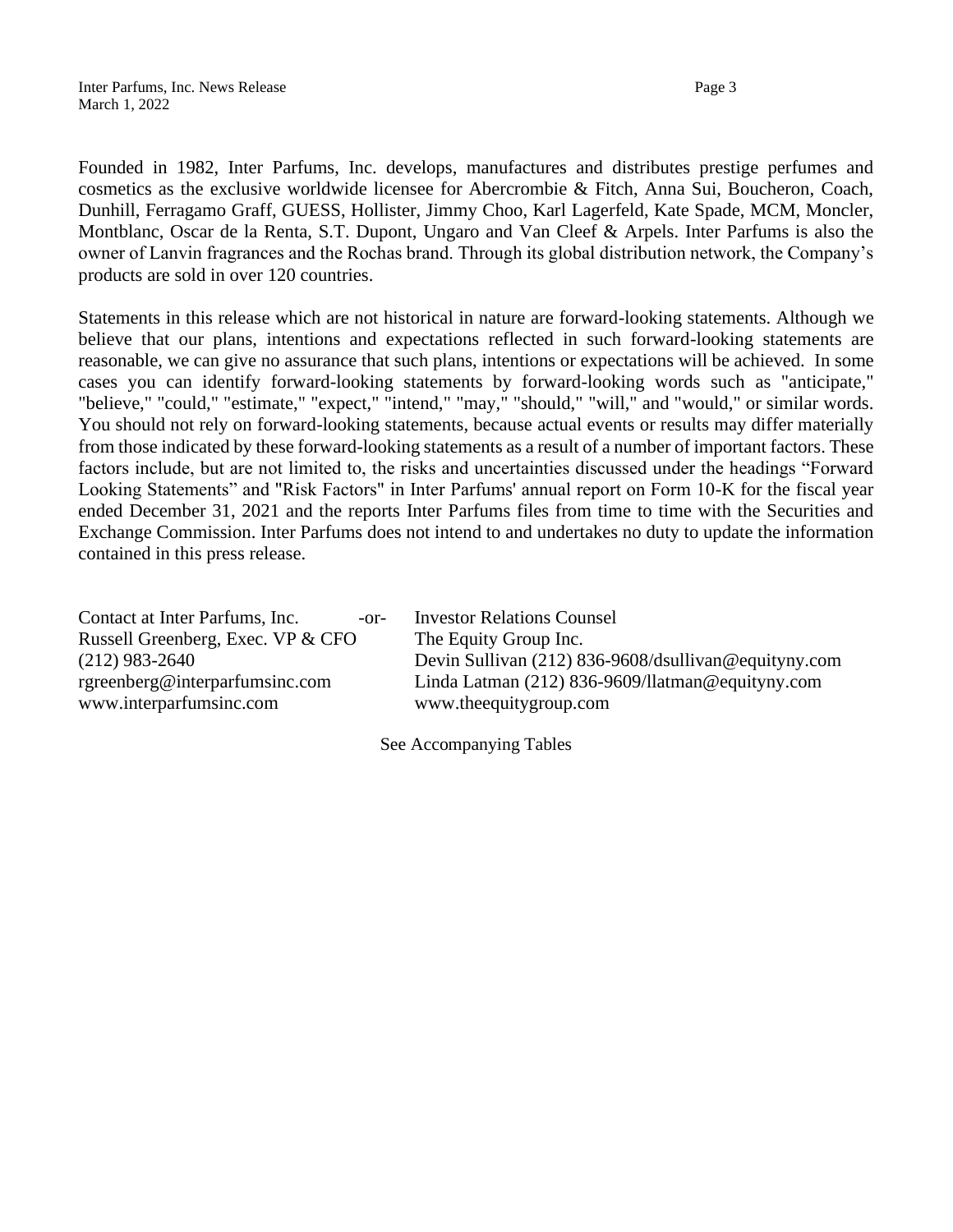Founded in 1982, Inter Parfums, Inc. develops, manufactures and distributes prestige perfumes and cosmetics as the exclusive worldwide licensee for Abercrombie & Fitch, Anna Sui, Boucheron, Coach, Dunhill, Ferragamo Graff, GUESS, Hollister, Jimmy Choo, Karl Lagerfeld, Kate Spade, MCM, Moncler, Montblanc, Oscar de la Renta, S.T. Dupont, Ungaro and Van Cleef & Arpels. Inter Parfums is also the owner of Lanvin fragrances and the Rochas brand. Through its global distribution network, the Company's products are sold in over 120 countries.

Statements in this release which are not historical in nature are forward-looking statements. Although we believe that our plans, intentions and expectations reflected in such forward-looking statements are reasonable, we can give no assurance that such plans, intentions or expectations will be achieved. In some cases you can identify forward-looking statements by forward-looking words such as "anticipate," "believe," "could," "estimate," "expect," "intend," "may," "should," "will," and "would," or similar words. You should not rely on forward-looking statements, because actual events or results may differ materially from those indicated by these forward-looking statements as a result of a number of important factors. These factors include, but are not limited to, the risks and uncertainties discussed under the headings "Forward Looking Statements" and "Risk Factors" in Inter Parfums' annual report on Form 10-K for the fiscal year ended December 31, 2021 and the reports Inter Parfums files from time to time with the Securities and Exchange Commission. Inter Parfums does not intend to and undertakes no duty to update the information contained in this press release.

| Contact at Inter Parfums, Inc.<br>$-0r-$ | <b>Investor Relations Counsel</b>                    |
|------------------------------------------|------------------------------------------------------|
| Russell Greenberg, Exec. VP & CFO        | The Equity Group Inc.                                |
| $(212)$ 983-2640                         | Devin Sullivan (212) 836-9608/dsullivan@equityny.com |
| rgreenberg@interparfumsinc.com           | Linda Latman $(212)$ 836-9609/llatman@equityny.com   |
| www.interparfumsinc.com                  | www.theequitygroup.com                               |
|                                          |                                                      |

See Accompanying Tables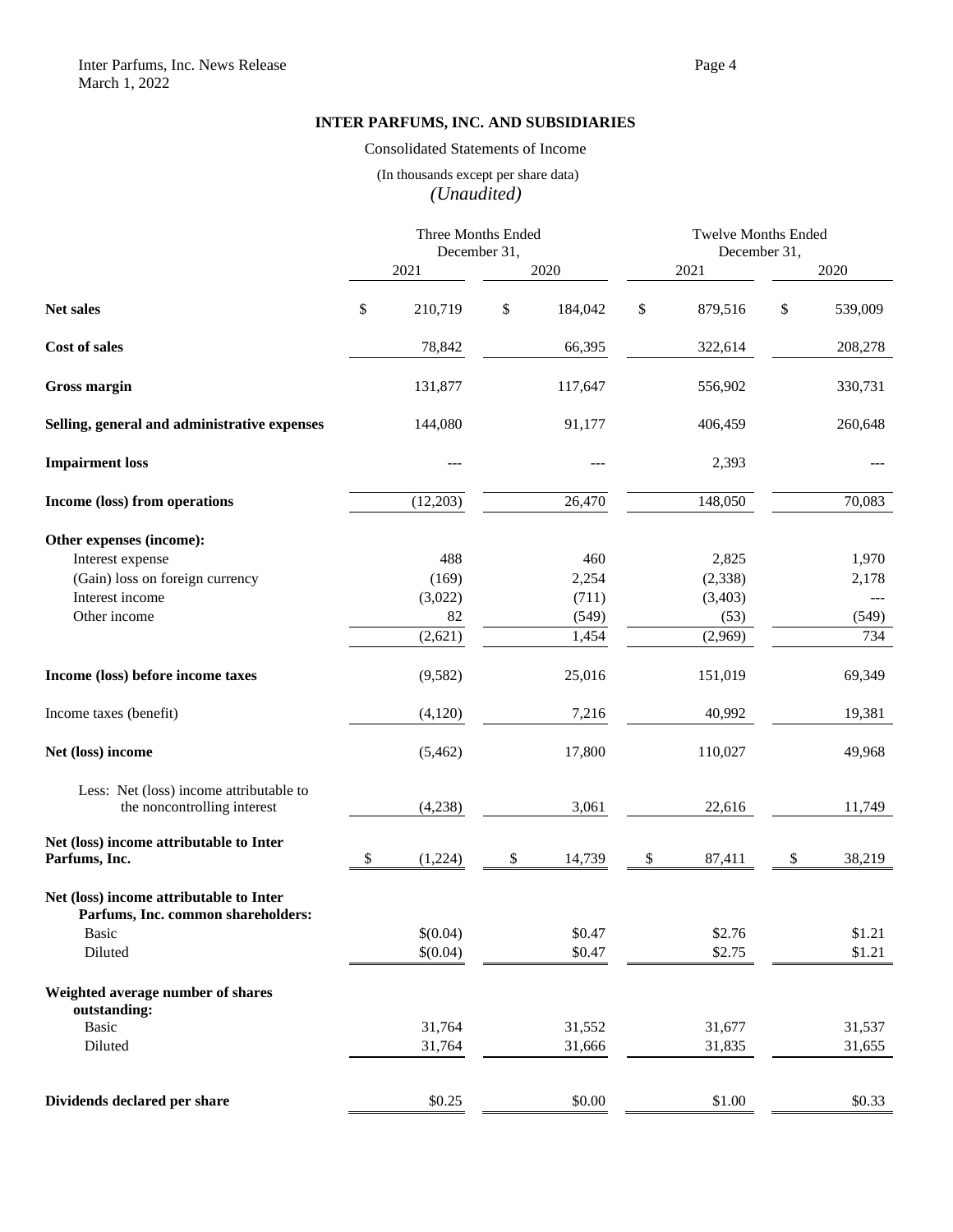# **INTER PARFUMS, INC. AND SUBSIDIARIES**

#### Consolidated Statements of Income

# (In thousands except per share data)

*(Unaudited)*

|                                                          | Three Months Ended<br>December 31, |          | <b>Twelve Months Ended</b><br>December 31, |    |          |      |         |
|----------------------------------------------------------|------------------------------------|----------|--------------------------------------------|----|----------|------|---------|
|                                                          |                                    | 2021     | 2020                                       |    | 2021     |      | 2020    |
|                                                          |                                    |          |                                            |    |          |      |         |
| <b>Net sales</b>                                         | \$                                 | 210,719  | \$<br>184,042                              | \$ | 879,516  | \$   | 539,009 |
| Cost of sales                                            |                                    | 78,842   | 66,395                                     |    | 322,614  |      | 208,278 |
| <b>Gross margin</b>                                      |                                    | 131,877  | 117,647                                    |    | 556,902  |      | 330,731 |
| Selling, general and administrative expenses             |                                    | 144,080  | 91,177                                     |    | 406,459  |      | 260,648 |
| <b>Impairment</b> loss                                   |                                    |          |                                            |    | 2,393    |      |         |
| Income (loss) from operations                            |                                    | (12,203) | 26,470                                     |    | 148,050  |      | 70,083  |
| Other expenses (income):                                 |                                    |          |                                            |    |          |      |         |
| Interest expense                                         |                                    | 488      | 460                                        |    | 2,825    |      | 1,970   |
| (Gain) loss on foreign currency                          |                                    | (169)    | 2,254                                      |    | (2, 338) |      | 2,178   |
| Interest income                                          |                                    | (3,022)  | (711)                                      |    | (3,403)  |      | $---$   |
| Other income                                             |                                    | 82       | (549)                                      |    | (53)     |      | (549)   |
|                                                          |                                    | (2,621)  | 1,454                                      |    | (2,969)  |      | 734     |
| Income (loss) before income taxes                        |                                    | (9,582)  | 25,016                                     |    | 151,019  |      | 69,349  |
| Income taxes (benefit)                                   |                                    | (4,120)  | 7,216                                      |    | 40,992   |      | 19,381  |
| Net (loss) income                                        |                                    | (5, 462) | 17,800                                     |    | 110,027  |      | 49,968  |
| Less: Net (loss) income attributable to                  |                                    |          |                                            |    |          |      |         |
| the noncontrolling interest                              |                                    | (4,238)  | 3,061                                      |    | 22,616   |      | 11,749  |
| Net (loss) income attributable to Inter<br>Parfums, Inc. | \$                                 | (1,224)  | \$<br>14,739                               | \$ | 87,411   | $\$$ | 38,219  |
| Net (loss) income attributable to Inter                  |                                    |          |                                            |    |          |      |         |
| Parfums, Inc. common shareholders:                       |                                    |          |                                            |    |          |      |         |
| Basic                                                    |                                    | \$(0.04) | \$0.47                                     |    | \$2.76   |      | \$1.21  |
| Diluted                                                  |                                    | \$(0.04) | \$0.47                                     |    | \$2.75   |      | \$1.21  |
| Weighted average number of shares                        |                                    |          |                                            |    |          |      |         |
| outstanding:                                             |                                    |          |                                            |    |          |      |         |
| Basic                                                    |                                    | 31,764   | 31,552                                     |    | 31,677   |      | 31,537  |
| Diluted                                                  |                                    | 31,764   | 31,666                                     |    | 31,835   |      | 31,655  |
| Dividends declared per share                             |                                    | \$0.25   | \$0.00                                     |    | \$1.00   |      | \$0.33  |